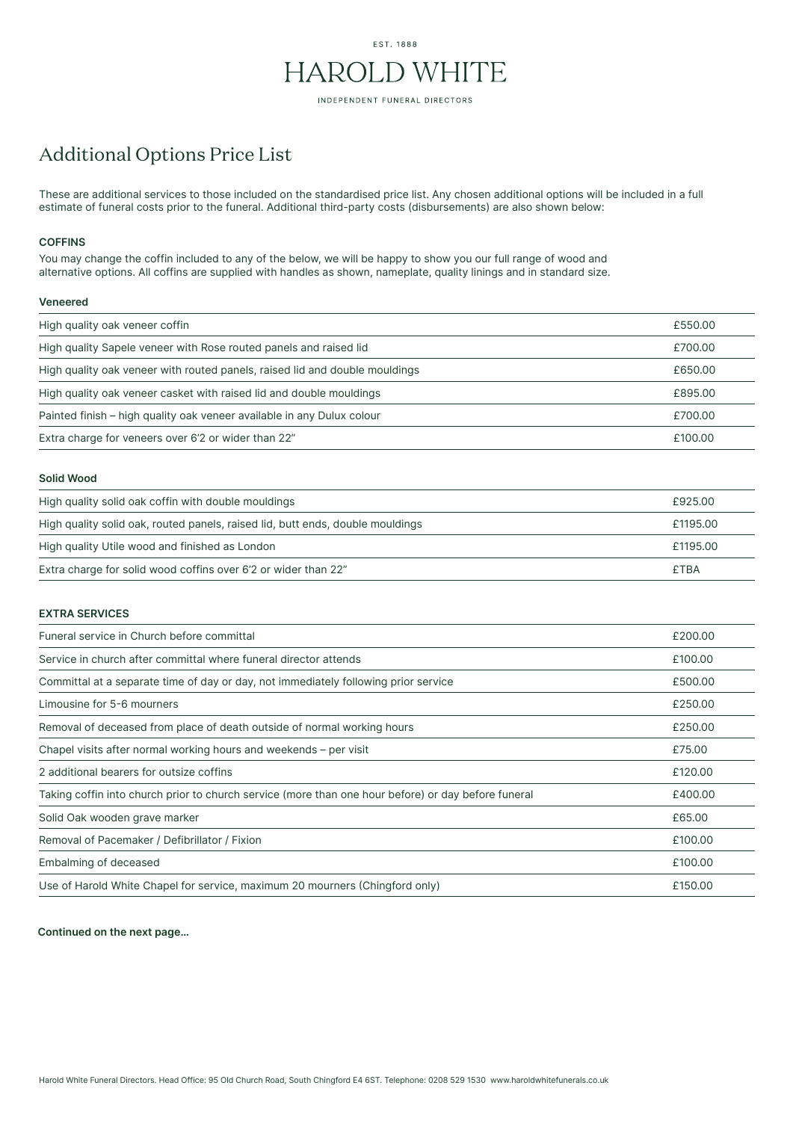## EST. 1888 **HAROLD WHITE INDEPENDENT FUNERAL DIRECTORS**

## Additional Options Price List

These are additional services to those included on the standardised price list. Any chosen additional options will be included in a full estimate of funeral costs prior to the funeral. Additional third-party costs (disbursements) are also shown below:

### **COFFINS**

You may change the coffin included to any of the below, we will be happy to show you our full range of wood and alternative options. All coffins are supplied with handles as shown, nameplate, quality linings and in standard size.

#### **Veneered**

| High quality oak veneer coffin                                              | £550.00 |
|-----------------------------------------------------------------------------|---------|
| High quality Sapele veneer with Rose routed panels and raised lid           | £700.00 |
| High quality oak veneer with routed panels, raised lid and double mouldings | £650.00 |
| High quality oak veneer casket with raised lid and double mouldings         | £895.00 |
| Painted finish - high quality oak veneer available in any Dulux colour      | £700.00 |
| Extra charge for veneers over 6'2 or wider than 22"                         | £100.00 |
|                                                                             |         |

### **Solid Wood**

| High quality solid oak coffin with double mouldings                            | £925.00     |
|--------------------------------------------------------------------------------|-------------|
| High quality solid oak, routed panels, raised lid, butt ends, double mouldings | £1195.00    |
| High quality Utile wood and finished as London                                 | £1195.00    |
| Extra charge for solid wood coffins over 6'2 or wider than 22"                 | <b>£TBA</b> |

#### **EXTRA SERVICES**

| £200.00 |
|---------|
| £100.00 |
| £500.00 |
| £250.00 |
| £250.00 |
| £75.00  |
| £120.00 |
| £400.00 |
| £65.00  |
| £100.00 |
| £100.00 |
| £150.00 |
|         |

**Continued on the next page…**